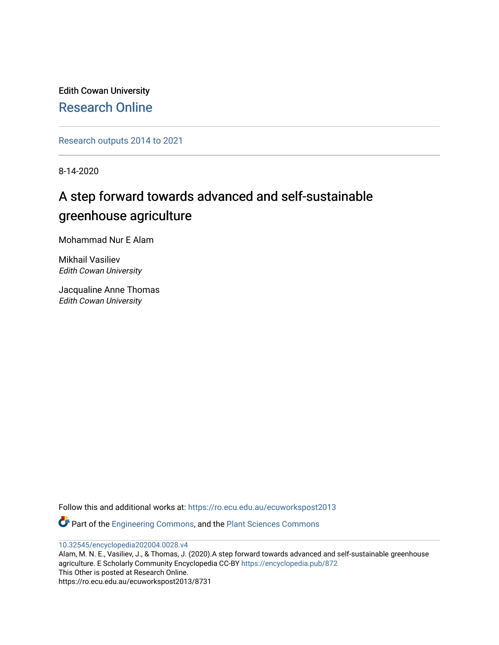Edith Cowan University [Research Online](https://ro.ecu.edu.au/) 

[Research outputs 2014 to 2021](https://ro.ecu.edu.au/ecuworkspost2013) 

8-14-2020

# A step forward towards advanced and self-sustainable greenhouse agriculture

Mohammad Nur E Alam

Mikhail Vasiliev Edith Cowan University

Jacqualine Anne Thomas Edith Cowan University

Follow this and additional works at: [https://ro.ecu.edu.au/ecuworkspost2013](https://ro.ecu.edu.au/ecuworkspost2013?utm_source=ro.ecu.edu.au%2Fecuworkspost2013%2F8731&utm_medium=PDF&utm_campaign=PDFCoverPages) 

**Part of the [Engineering Commons](http://network.bepress.com/hgg/discipline/217?utm_source=ro.ecu.edu.au%2Fecuworkspost2013%2F8731&utm_medium=PDF&utm_campaign=PDFCoverPages), and the [Plant Sciences Commons](http://network.bepress.com/hgg/discipline/102?utm_source=ro.ecu.edu.au%2Fecuworkspost2013%2F8731&utm_medium=PDF&utm_campaign=PDFCoverPages)** 

[10.32545/encyclopedia202004.0028.v4](http://dx.doi.org/10.32545/encyclopedia202004.0028.v4) 

Alam, M. N. E., Vasiliev, J., & Thomas, J. (2020).A step forward towards advanced and self-sustainable greenhouse agriculture. E Scholarly Community Encyclopedia CC-BY<https://encyclopedia.pub/872> This Other is posted at Research Online. https://ro.ecu.edu.au/ecuworkspost2013/8731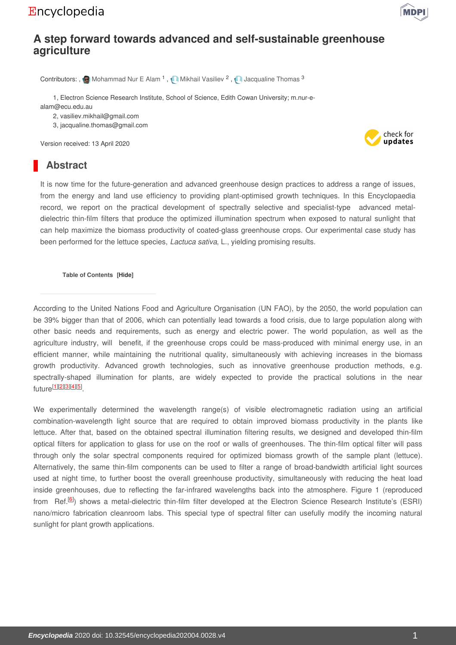

check for updates

## **A step forward towards advanced and self-sustainable greenhouse agriculture**

Contributors: ,  $\bigcirc$  [Mohammad](https://sciprofiles.com/profile/58025) Nur E Alam <sup>1</sup>,  $\bigcirc$  Mikhail [Vasiliev](https://sciprofiles.com/profile/112541) <sup>2</sup>,  $\bigcirc$  [Jacqualine](https://sciprofiles.com/profile/1171837) Thomas <sup>3</sup>

1, Electron Science Research Institute, School of Science, Edith Cowan University; m.nur-ealam@ecu.edu.au

- 2, vasiliev.mikhail@gmail.com
- 3, jacqualine.thomas@gmail.com

Version received: 13 April 2020

### **Abstract**

It is now time for the future-generation and advanced greenhouse design practices to address a range of issues, from the energy and land use efficiency to providing plant-optimised growth techniques. In this Encyclopaedia record, we report on the practical development of spectrally selective and specialist-type advanced metaldielectric thin-film filters that produce the optimized illumination spectrum when exposed to natural sunlight that can help maximize the biomass productivity of coated-glass greenhouse crops. Our experimental case study has been performed for the lettuce species, *Lactuca sativa*, L., yielding promising results.

#### **Table of Contents [\[Hide\]](javascript:void(0))**

According to the United Nations Food and Agriculture Organisation (UN FAO), by the 2050, the world population can be 39% bigger than that of 2006, which can potentially lead towards a food crisis, due to large population along with other basic needs and requirements, such as energy and electric power. The world population, as well as the agriculture industry, will benefit, if the greenhouse crops could be mass-produced with minimal energy use, in an efficient manner, while maintaining the nutritional quality, simultaneously with achieving increases in the biomass growth productivity. Advanced growth technologies, such as innovative greenhouse production methods, e.g. spectrally-shaped illumination for plants, are widely expected to provide the practical solutions in the near future<sup>[\[1](#page-2-0)][\[2](#page-2-1)][[3](#page-2-2)][\[4](#page-2-3)][\[5](#page-2-4)]</sup>.

We experimentally determined the wavelength range(s) of visible electromagnetic radiation using an artificial combination-wavelength light source that are required to obtain improved biomass productivity in the plants like lettuce. After that, based on the obtained spectral illumination filtering results, we designed and developed thin-film optical filters for application to glass for use on the roof or walls of greenhouses. The thin-film optical filter will pass through only the solar spectral components required for optimized biomass growth of the sample plant (lettuce). Alternatively, the same thin-film components can be used to filter a range of broad-bandwidth artificial light sources used at night time, to further boost the overall greenhouse productivity, simultaneously with reducing the heat load inside greenhouses, due to reflecting the far-infrared wavelengths back into the atmosphere. Figure 1 (reproduced from Ref.<sup>[\[6](#page-2-5)]</sup>) shows a metal-dielectric thin-film filter developed at the Electron Science Research Institute's (ESRI) nano/micro fabrication cleanroom labs. This special type of spectral filter can usefully modify the incoming natural sunlight for plant growth applications.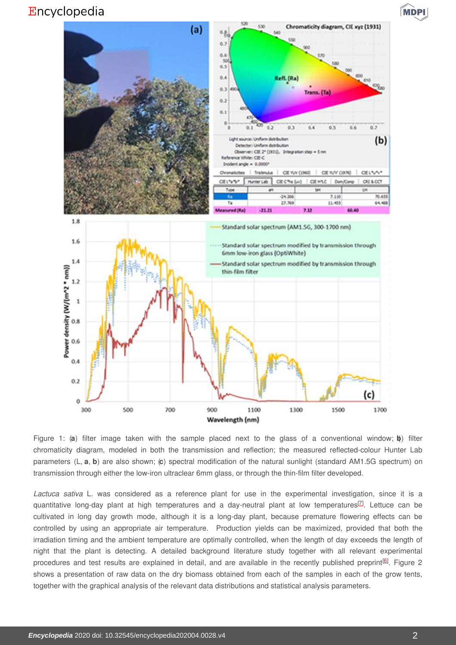



<span id="page-2-3"></span><span id="page-2-2"></span><span id="page-2-1"></span><span id="page-2-0"></span>Figure 1: (a) filter image taken with the sample placed next to the glass of a conventional window;  $\phi$ ) filter chromaticity diagram, modeled in both the transmission and reflection; the measured reflected-colour Hunter Lab parameters (L, **a**, **b**) are also shown; (**c**) spectral modification of the natural sunlight (standard AM1.5G spectrum) on transmission through either the low-iron ultraclear 6mm glass, or through the thin-film filter developed.

<span id="page-2-6"></span><span id="page-2-5"></span><span id="page-2-4"></span>*Lactuca sativa* L. was considered as a reference plant for use in the experimental investigation, since it is a quantitative long-day plant at high temperatures and a day-neutral plant at low temperatures<sup>[Z]</sup>. Lettuce can be cultivated in long day growth mode, although it is a long-day plant, because premature flowering effects can be controlled by using an appropriate air temperature. Production yields can be maximized, provided that both the irradiation timing and the ambient temperature are optimally controlled, when the length of day exceeds the length of night that the plant is detecting. A detailed background literature study together with all relevant experimental procedures and test results are explained in detail, and are available in the recently published preprint<sup>[\[6](#page-2-5)]</sup>. Figure 2 shows a presentation of raw data on the dry biomass obtained from each of the samples in each of the grow tents, together with the graphical analysis of the relevant data distributions and statistical analysis parameters.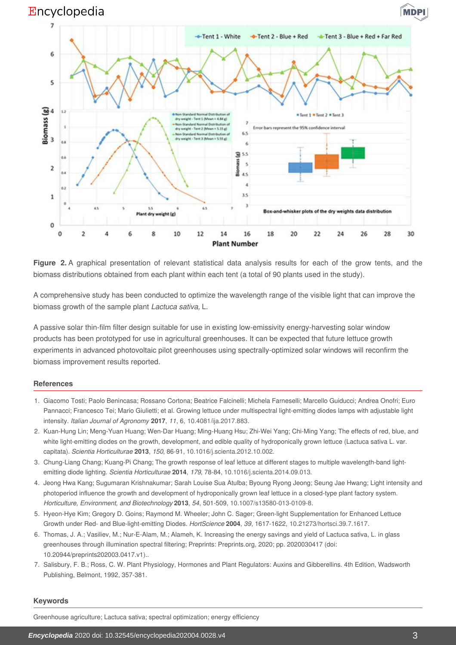**MDPI** 



**Figure 2.** A graphical presentation of relevant statistical data analysis results for each of the grow tents, and the biomass distributions obtained from each plant within each tent (a total of 90 plants used in the study).

A comprehensive study has been conducted to optimize the wavelength range of the visible light that can improve the biomass growth of the sample plant *Lactuca sativa,* L.

A passive solar thin-film filter design suitable for use in existing low-emissivity energy-harvesting solar window products has been prototyped for use in agricultural greenhouses. It can be expected that future lettuce growth experiments in advanced photovoltaic pilot greenhouses using spectrally-optimized solar windows will reconfirm the biomass improvement results reported.

#### **References**

- 1. Giacomo Tosti; Paolo Benincasa; Rossano Cortona; Beatrice Falcinelli; Michela Farneselli; Marcello Guiducci; Andrea Onofri; Euro Pannacci; Francesco Tei; Mario Giulietti; et al. Growing lettuce under multispectral light-emitting diodes lamps with adjustable light intensity. *Italian Journal of Agronomy* **2017**, *11*, 6, [10.4081/ija.2017.883](http://doi.org/10.4081/ija.2017.883).
- 2. Kuan-Hung Lin; Meng-Yuan Huang; Wen-Dar Huang; Ming-Huang Hsu; Zhi-Wei Yang; Chi-Ming Yang; The effects of red, blue, and white light-emitting diodes on the growth, development, and edible quality of hydroponically grown lettuce (Lactuca sativa L. var. capitata). *Scientia Horticulturae* **2013**, *150*, 86-91, [10.1016/j.scienta.2012.10.002](http://doi.org/10.1016/j.scienta.2012.10.002).
- 3. Chung-Liang Chang; Kuang-Pi Chang; The growth response of leaf lettuce at different stages to multiple wavelength-band lightemitting diode lighting. *Scientia Horticulturae* **2014**, *179*, 78-84, [10.1016/j.scienta.2014.09.013](http://doi.org/10.1016/j.scienta.2014.09.013).
- 4. Jeong Hwa Kang; Sugumaran Krishnakumar; Sarah Louise Sua Atulba; Byoung Ryong Jeong; Seung Jae Hwang; Light intensity and photoperiod influence the growth and development of hydroponically grown leaf lettuce in a closed-type plant factory system. *Horticulture, Environment, and Biotechnology* **2013**, *54*, 501-509, [10.1007/s13580-013-0109-8](http://doi.org/10.1007/s13580-013-0109-8).
- 5. Hyeon-Hye Kim; Gregory D. Goins; Raymond M. Wheeler; John C. Sager; Green-light Supplementation for Enhanced Lettuce Growth under Red- and Blue-light-emitting Diodes. *HortScience* **2004**, *39*, 1617-1622, [10.21273/hortsci.39.7.1617](http://doi.org/10.21273/hortsci.39.7.1617).
- 6. Thomas, J. A.; Vasiliev, M.; Nur-E-Alam, M.; Alameh, K. Increasing the energy savings and yield of Lactuca sativa, L. in glass greenhouses through illumination spectral filtering; Preprints: Preprints.org, 2020; pp. 2020030417 (doi: 10.20944/preprints202003.0417.v1)..
- 7. Salisbury, F. B.; Ross, C. W. Plant Physiology, Hormones and Plant Regulators: Auxins and Gibberellins. 4th Edition, Wadsworth Publishing, Belmont, 1992, 357-381.

#### **Keywords**

Greenhouse agriculture; Lactuca sativa; spectral optimization; energy efficiency